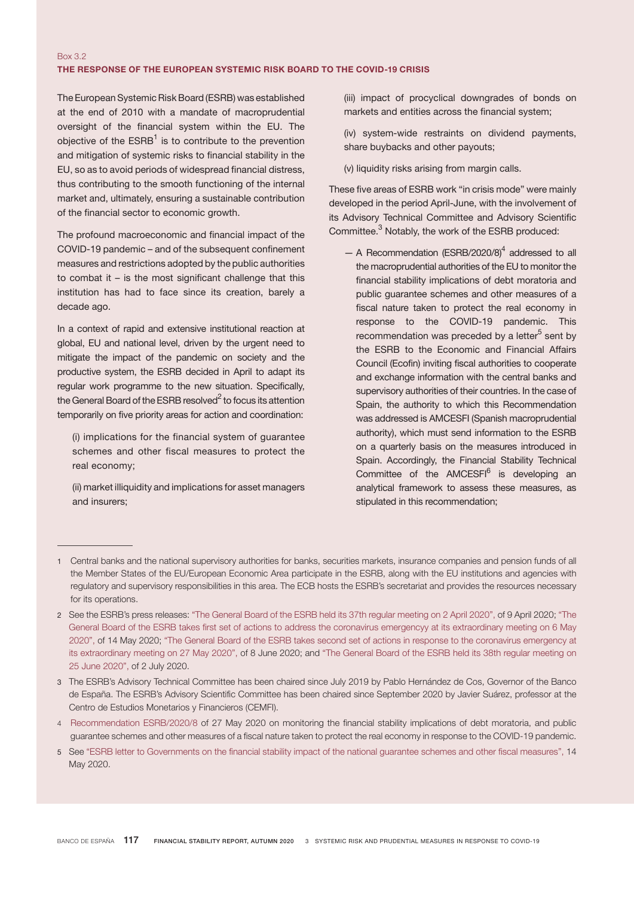## Box 3.2 THE RESPONSE OF THE EUROPEAN SYSTEMIC RISK BOARD TO THE COVID-19 CRISIS

The European Systemic Risk Board (ESRB) was established at the end of 2010 with a mandate of macroprudential oversight of the financial system within the EU. The objective of the ESRB<sup>1</sup> is to contribute to the prevention and mitigation of systemic risks to financial stability in the EU, so as to avoid periods of widespread financial distress, thus contributing to the smooth functioning of the internal market and, ultimately, ensuring a sustainable contribution of the financial sector to economic growth.

The profound macroeconomic and financial impact of the COVID-19 pandemic – and of the subsequent confinement measures and restrictions adopted by the public authorities to combat it – is the most significant challenge that this institution has had to face since its creation, barely a decade ago.

In a context of rapid and extensive institutional reaction at global, EU and national level, driven by the urgent need to mitigate the impact of the pandemic on society and the productive system, the ESRB decided in April to adapt its regular work programme to the new situation. Specifically, the General Board of the ESRB resolved $^2$  to focus its attention temporarily on five priority areas for action and coordination:

(i) implications for the financial system of guarantee schemes and other fiscal measures to protect the real economy;

(ii) market illiquidity and implications for asset managers and insurers;

(iii) impact of procyclical downgrades of bonds on markets and entities across the financial system;

(iv) system-wide restraints on dividend payments, share buybacks and other payouts;

(v) liquidity risks arising from margin calls.

These five areas of ESRB work "in crisis mode" were mainly developed in the period April-June, with the involvement of its Advisory Technical Committee and Advisory Scientific Committee.<sup>3</sup> Notably, the work of the ESRB produced:

 $-$  A Recommendation (ESRB/2020/8)<sup>4</sup> addressed to all the macroprudential authorities of the EU to monitor the financial stability implications of debt moratoria and public guarantee schemes and other measures of a fiscal nature taken to protect the real economy in response to the COVID-19 pandemic. This recommendation was preceded by a letter<sup>5</sup> sent by the ESRB to the Economic and Financial Affairs Council (Ecofin) inviting fiscal authorities to cooperate and exchange information with the central banks and supervisory authorities of their countries. In the case of Spain, the authority to which this Recommendation was addressed is AMCESFI (Spanish macroprudential authority), which must send information to the ESRB on a quarterly basis on the measures introduced in Spain. Accordingly, the Financial Stability Technical Committee of the AMCESFI<sup>6</sup> is developing an analytical framework to assess these measures, as stipulated in this recommendation;

- 4 [Recommendation ESRB/2020/8](https://www.esrb.europa.eu/pub/pdf/recommendations/esrb.recommendation200608_on_monitoring_financial_implications_of_fiscal_support_measures_in_response_to_the_COVID-19_pandemic_3~c745d54b59.en.pdf) of 27 May 2020 on monitoring the financial stability implications of debt moratoria, and public guarantee schemes and other measures of a fiscal nature taken to protect the real economy in response to the COVID-19 pandemic.
- 5 See "ESRB letter to [Governments](https://www.esrb.europa.eu/pub/pdf/other/esrb.letter200514_ESRB_work_on_implications_to_protect_the_real_economy~e67a9f48ca.en.pdf%3Fd45da1112bd0b4bb6e0cd70b0ebfa542) on the financial stability impact of the national guarantee schemes and other fiscal measures", 14 May 2020.

<sup>1</sup> Central banks and the national supervisory authorities for banks, securities markets, insurance companies and pension funds of all the Member States of the EU/European Economic Area participate in the ESRB, along with the EU institutions and agencies with regulatory and supervisory responsibilities in this area. The ECB hosts the ESRB's secretariat and provides the resources necessary for its operations.

<sup>2</sup> See the ESRB's press releases: "The General Board of the ESRB held its 37th regular [meeting](https://www.esrb.europa.eu/news/pr/date/2020/html/esrb.pr200409~a26cc93c59.en.html) on 2 April 2020", of 9 April 2020; ["The](https://www.esrb.europa.eu/news/pr/date/2020/html/esrb.pr200514~bb1f96a327.en.html) General Board of the ESRB takes first set of actions to address the coronavirus emergencyy at its [extraordinary](https://www.esrb.europa.eu/news/pr/date/2020/html/esrb.pr200514~bb1f96a327.en.html) meeting on 6 May [2020",](https://www.esrb.europa.eu/news/pr/date/2020/html/esrb.pr200514~bb1f96a327.en.html) of 14 May 2020; "The General Board of the ESRB takes second set of actions in response to the [coronavirus](https://www.esrb.europa.eu/news/pr/date/2020/html/esrb.pr200608~c9d71f035a.en.html) emergency at its [extraordinary](https://www.esrb.europa.eu/news/pr/date/2020/html/esrb.pr200608~c9d71f035a.en.html) meeting on 27 May 2020", of 8 June 2020; and "The General Board of the ESRB held its 38th regular [meeting](https://www.esrb.europa.eu/news/pr/date/2020/html/esrb.pr200702~87d1563eba.en.html) on 25 June [2020",](https://www.esrb.europa.eu/news/pr/date/2020/html/esrb.pr200702~87d1563eba.en.html) of 2 July 2020.

<sup>3</sup> The ESRB's Advisory Technical Committee has been chaired since July 2019 by Pablo Hernández de Cos, Governor of the Banco de España. The ESRB's Advisory Scientific Committee has been chaired since September 2020 by Javier Suárez, professor at the Centro de Estudios Monetarios y Financieros (CEMFI).